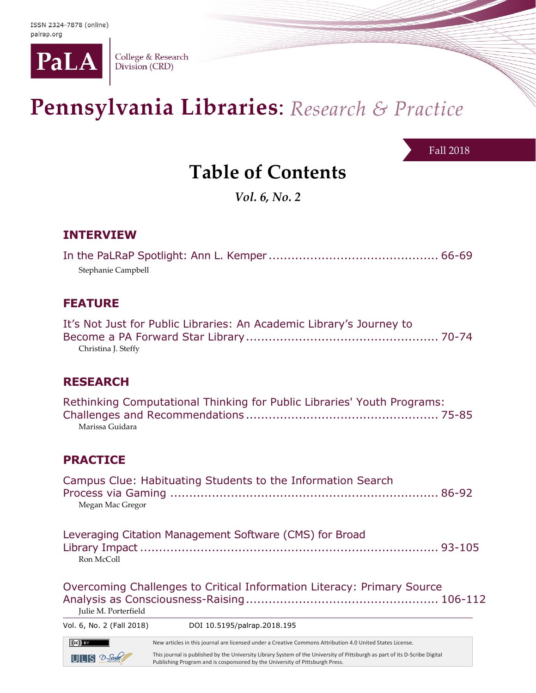

College & Research<br>Division (CRD)

# Pennsylvania Libraries: Research & Practice

Fall 2018

## **Table of Contents**

*Vol. 6, No. 2*

## **INTERVIEW**

| Stephanie Campbell |  |
|--------------------|--|

## **FEATURE**

| It's Not Just for Public Libraries: An Academic Library's Journey to |  |
|----------------------------------------------------------------------|--|
|                                                                      |  |
| Christina J. Steffy                                                  |  |

## **RESEARCH**

| Rethinking Computational Thinking for Public Libraries' Youth Programs: |  |
|-------------------------------------------------------------------------|--|
|                                                                         |  |
| Marissa Guidara                                                         |  |

## **PRACTICE**

| Vol. 6, No. 2 (Fall 2018) DOI 10.5195/palrap.2018.195 |                                                                        |  |
|-------------------------------------------------------|------------------------------------------------------------------------|--|
| Julie M. Porterfield                                  | Overcoming Challenges to Critical Information Literacy: Primary Source |  |
| Ron McColl                                            | Leveraging Citation Management Software (CMS) for Broad                |  |
| Megan Mac Gregor                                      | Campus Clue: Habituating Students to the Information Search            |  |

New articles in this journal are licensed under a Creative Commons Attribution 4.0 United States License.

 $UILS$   $2-$  Sorbe

 $(cc)$  BY

This journal is published by the University Library System of the University of Pittsburgh as part of its D-Scribe Digital Publishing Program and is cosponsored by the University of Pittsburgh Press.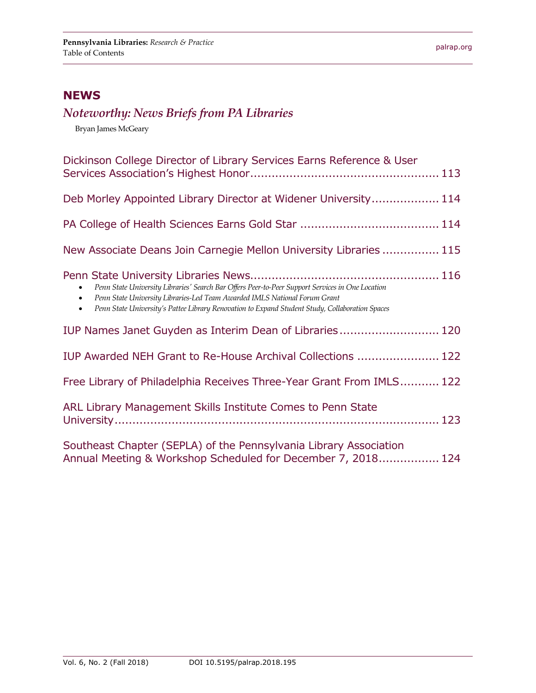## **NEWS**

## *Noteworthy: News Briefs from PA Libraries*

Bryan James McGeary

| Dickinson College Director of Library Services Earns Reference & User                                                                                                                                                                                                                                       |
|-------------------------------------------------------------------------------------------------------------------------------------------------------------------------------------------------------------------------------------------------------------------------------------------------------------|
| Deb Morley Appointed Library Director at Widener University 114                                                                                                                                                                                                                                             |
|                                                                                                                                                                                                                                                                                                             |
| New Associate Deans Join Carnegie Mellon University Libraries  115                                                                                                                                                                                                                                          |
| Penn State University Libraries' Search Bar Offers Peer-to-Peer Support Services in One Location<br>Penn State University Libraries-Led Team Awarded IMLS National Forum Grant<br>$\bullet$<br>Penn State University's Pattee Library Renovation to Expand Student Study, Collaboration Spaces<br>$\bullet$ |
| IUP Names Janet Guyden as Interim Dean of Libraries 120                                                                                                                                                                                                                                                     |
| IUP Awarded NEH Grant to Re-House Archival Collections  122                                                                                                                                                                                                                                                 |
| Free Library of Philadelphia Receives Three-Year Grant From IMLS 122                                                                                                                                                                                                                                        |
| ARL Library Management Skills Institute Comes to Penn State                                                                                                                                                                                                                                                 |
| Southeast Chapter (SEPLA) of the Pennsylvania Library Association<br>Annual Meeting & Workshop Scheduled for December 7, 2018 124                                                                                                                                                                           |